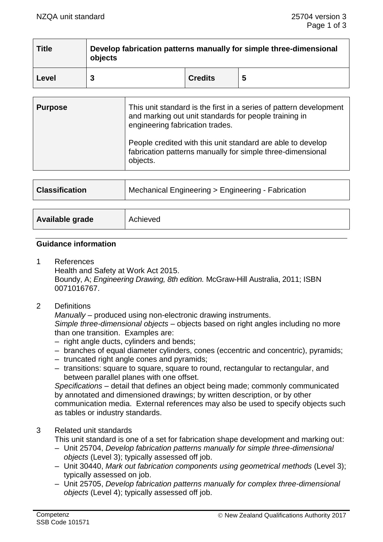| <b>Title</b> | Develop fabrication patterns manually for simple three-dimensional<br>objects |                |   |
|--------------|-------------------------------------------------------------------------------|----------------|---|
| Level        |                                                                               | <b>Credits</b> | 5 |

| <b>Purpose</b>        | This unit standard is the first in a series of pattern development<br>and marking out unit standards for people training in<br>engineering fabrication trades.<br>People credited with this unit standard are able to develop<br>fabrication patterns manually for simple three-dimensional<br>objects. |
|-----------------------|---------------------------------------------------------------------------------------------------------------------------------------------------------------------------------------------------------------------------------------------------------------------------------------------------------|
| <b>Classification</b> | Mechanical Engineering > Engineering - Fabrication                                                                                                                                                                                                                                                      |

| Available grade<br>Achieved |  |
|-----------------------------|--|
|-----------------------------|--|

### **Guidance information**

- 1 References Health and Safety at Work Act 2015. Boundy, A; *Engineering Drawing, 8th edition.* McGraw-Hill Australia, 2011; ISBN 0071016767.
- 2 Definitions

*Manually* – produced using non-electronic drawing instruments. *Simple three-dimensional objects –* objects based on right angles including no more than one transition. Examples are:

- right angle ducts, cylinders and bends;
- branches of equal diameter cylinders, cones (eccentric and concentric), pyramids;
- truncated right angle cones and pyramids;
- transitions: square to square, square to round, rectangular to rectangular, and between parallel planes with one offset.

*Specifications –* detail that defines an object being made; commonly communicated by annotated and dimensioned drawings; by written description, or by other communication media. External references may also be used to specify objects such as tables or industry standards.

3 Related unit standards

This unit standard is one of a set for fabrication shape development and marking out:

- Unit 25704, *Develop fabrication patterns manually for simple three-dimensional objects* (Level 3); typically assessed off job.
- Unit 30440, *Mark out fabrication components using geometrical methods* (Level 3); typically assessed on job.
- Unit 25705, *Develop fabrication patterns manually for complex three-dimensional objects* (Level 4); typically assessed off job.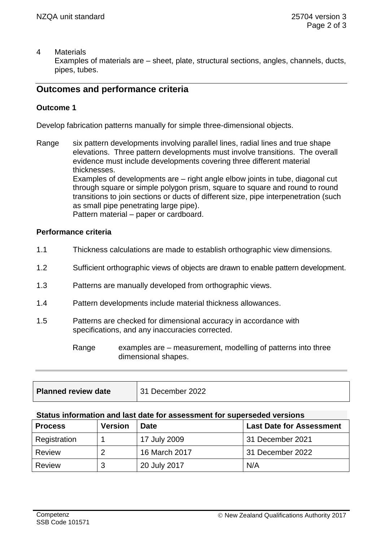## 4 Materials

Examples of materials are – sheet, plate, structural sections, angles, channels, ducts, pipes, tubes.

## **Outcomes and performance criteria**

## **Outcome 1**

Develop fabrication patterns manually for simple three-dimensional objects.

Range six pattern developments involving parallel lines, radial lines and true shape elevations. Three pattern developments must involve transitions. The overall evidence must include developments covering three different material thicknesses. Examples of developments are – right angle elbow joints in tube, diagonal cut through square or simple polygon prism, square to square and round to round transitions to join sections or ducts of different size, pipe interpenetration (such as small pipe penetrating large pipe).

Pattern material – paper or cardboard.

## **Performance criteria**

- 1.1 Thickness calculations are made to establish orthographic view dimensions.
- 1.2 Sufficient orthographic views of objects are drawn to enable pattern development.
- 1.3 Patterns are manually developed from orthographic views.
- 1.4 Pattern developments include material thickness allowances.
- 1.5 Patterns are checked for dimensional accuracy in accordance with specifications, and any inaccuracies corrected.

Range examples are – measurement, modelling of patterns into three dimensional shapes.

| <b>Planned review date</b> | 31 December 2022 |
|----------------------------|------------------|
|                            |                  |

#### **Status information and last date for assessment for superseded versions**

| <b>Process</b> | <b>Version</b> | <b>Date</b>   | <b>Last Date for Assessment</b> |
|----------------|----------------|---------------|---------------------------------|
| Registration   |                | 17 July 2009  | 31 December 2021                |
| Review         | າ              | 16 March 2017 | 31 December 2022                |
| Review         | 3              | 20 July 2017  | N/A                             |